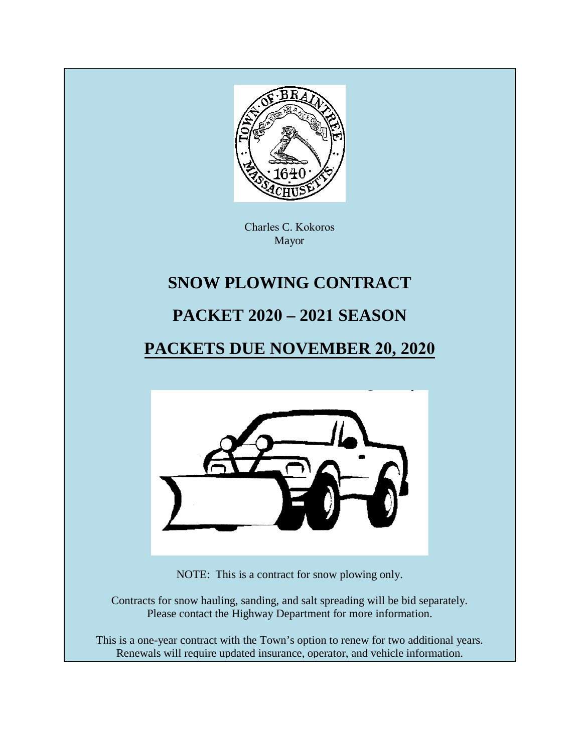

Charles C. Kokoros Mayor

# **SNOW PLOWING CONTRACT**

# **PACKET 2020 – 2021 SEASON**

# **PACKETS DUE NOVEMBER 20, 2020**



NOTE: This is a contract for snow plowing only.

Contracts for snow hauling, sanding, and salt spreading will be bid separately. Please contact the Highway Department for more information.

This is a one-year contract with the Town's option to renew for two additional years. Renewals will require updated insurance, operator, and vehicle information.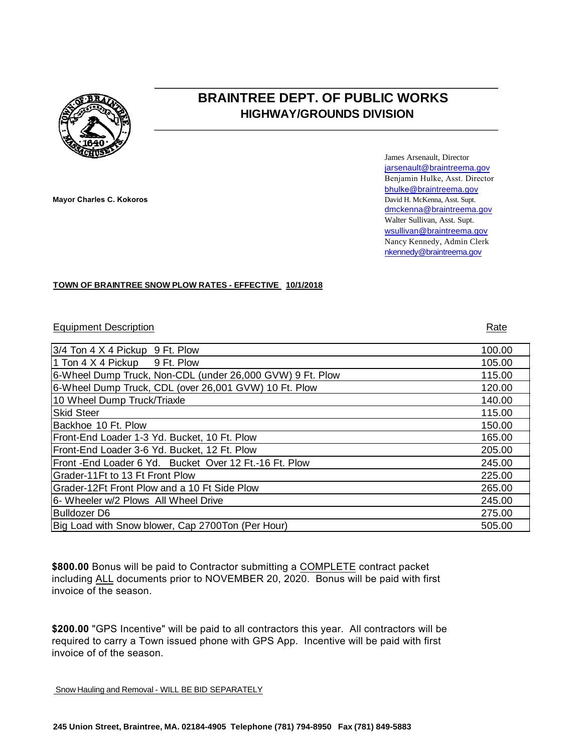

# **BRAINTREE DEPT. OF PUBLIC WORKS HIGHWAY/GROUNDS DIVISION**

 $\overline{\phantom{a}}$  , and the set of the set of the set of the set of the set of the set of the set of the set of the set of the set of the set of the set of the set of the set of the set of the set of the set of the set of the s

**\_\_\_\_\_\_\_\_\_\_\_\_\_\_\_\_\_\_\_\_\_\_\_\_\_\_\_\_\_\_\_\_\_\_\_\_\_\_\_\_\_\_\_\_\_\_\_\_\_\_\_\_\_\_\_\_\_\_\_\_\_\_\_\_\_\_\_\_\_\_\_\_\_\_**

**Mayor Charles C. Kokoros**

James Arsenault, Director jarsenault@braintreema.gov Benjamin Hulke, Asst. Director bhulke@braintreema.gov David H. McKenna, Asst. Supt. dmckenna@braintreema.gov Walter Sullivan, Asst. Supt. wsullivan@braintreema.gov Nancy Kennedy, Admin Clerk nkennedy@braintreema.gov

#### **TOWN OF BRAINTREE SNOW PLOW RATES - EFFECTIVE 10/1/2018**

#### Equipment Description Rate

3/4 Ton 4 X 4 Pickup 9 Ft. Plow 100.00 1 Ton 4 X 4 Pickup 9 Ft. Plow 105.00 6-Wheel Dump Truck, Non-CDL (under 26,000 GVW) 9 Ft. Plow 115.00 6-Wheel Dump Truck, CDL (over 26,001 GVW) 10 Ft. Plow 120.00 10 Wheel Dump Truck/Triaxle 140.00 Skid Steer 115.00 Backhoe 10 Ft. Plow 150.00 Front-End Loader 1-3 Yd. Bucket, 10 Ft. Plow 165.00 Front-End Loader 3-6 Yd. Bucket, 12 Ft. Plow 205.00 Front -End Loader 6 Yd. Bucket Over 12 Ft.-16 Ft. Plow 245.00 Grader-11Ft to 13 Ft Front Plow 225.00 Grader-12Ft Front Plow and a 10 Ft Side Plow 265.00 6- Wheeler w/2 Plows All Wheel Drive 245.00 Bulldozer D6 275.00 Big Load with Snow blower, Cap 2700Ton (Per Hour) 505.00 505.00

**\$800.00** Bonus will be paid to Contractor submitting a COMPLETE contract packet including ALL documents prior to NOVEMBER 20, 2020. Bonus will be paid with first invoice of the season.

**\$200.00** "GPS Incentive" will be paid to all contractors this year. All contractors will be required to carry a Town issued phone with GPS App. Incentive will be paid with first invoice of of the season.

Snow Hauling and Removal - WILL BE BID SEPARATELY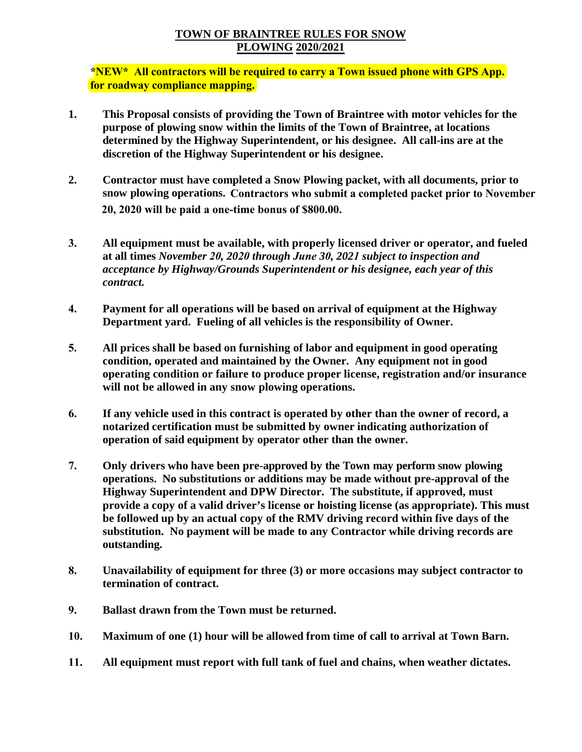### **TOWN OF BRAINTREE RULES FOR SNOW PLOWING 2020/2021**

**\*NEW\* All contractors will be required to carry a Town issued phone with GPS App. for roadway compliance mapping.**

- **1. This Proposal consists of providing the Town of Braintree with motor vehicles for the purpose of plowing snow within the limits of the Town of Braintree, at locations determined by the Highway Superintendent, or his designee. All call-ins are at the discretion of the Highway Superintendent or his designee.**
- **2. Contractor must have completed a Snow Plowing packet, with all documents, prior to snow plowing operations. Contractors who submit a completed packet prior to November 20, 2020 will be paid a one-time bonus of \$800.00.**
- **3. All equipment must be available, with properly licensed driver or operator, and fueled at all times** *November 20, 2020 through June 30, 2021 subject to inspection and acceptance by Highway/Grounds Superintendent or his designee, each year of this contract.*
- **4. Payment for all operations will be based on arrival of equipment at the Highway Department yard. Fueling of all vehicles is the responsibility of Owner.**
- **5. All prices shall be based on furnishing of labor and equipment in good operating condition, operated and maintained by the Owner. Any equipment not in good operating condition or failure to produce proper license, registration and/or insurance will not be allowed in any snow plowing operations.**
- **6. If any vehicle used in this contract is operated by other than the owner of record, a notarized certification must be submitted by owner indicating authorization of operation of said equipment by operator other than the owner.**
- **7. Only drivers who have been pre-approved by the Town may perform snow plowing operations. No substitutions or additions may be made without pre-approval of the Highway Superintendent and DPW Director. The substitute, if approved, must provide a copy of a valid driver's license or hoisting license (as appropriate). This must be followed up by an actual copy of the RMV driving record within five days of the substitution. No payment will be made to any Contractor while driving records are outstanding.**
- **8. Unavailability of equipment for three (3) or more occasions may subject contractor to termination of contract.**
- **9. Ballast drawn from the Town must be returned.**
- **10. Maximum of one (1) hour will be allowed from time of call to arrival at Town Barn.**
- **11. All equipment must report with full tank of fuel and chains, when weather dictates.**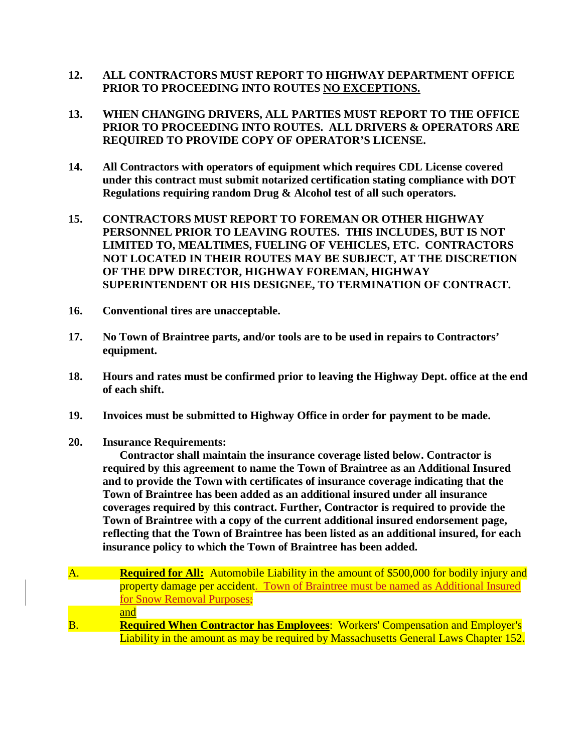- **12. ALL CONTRACTORS MUST REPORT TO HIGHWAY DEPARTMENT OFFICE PRIOR TO PROCEEDING INTO ROUTES NO EXCEPTIONS.**
- **13. WHEN CHANGING DRIVERS, ALL PARTIES MUST REPORT TO THE OFFICE PRIOR TO PROCEEDING INTO ROUTES. ALL DRIVERS & OPERATORS ARE REQUIRED TO PROVIDE COPY OF OPERATOR'S LICENSE.**
- **14. All Contractors with operators of equipment which requires CDL License covered under this contract must submit notarized certification stating compliance with DOT Regulations requiring random Drug & Alcohol test of all such operators.**
- **15. CONTRACTORS MUST REPORT TO FOREMAN OR OTHER HIGHWAY PERSONNEL PRIOR TO LEAVING ROUTES. THIS INCLUDES, BUT IS NOT LIMITED TO, MEALTIMES, FUELING OF VEHICLES, ETC. CONTRACTORS NOT LOCATED IN THEIR ROUTES MAY BE SUBJECT, AT THE DISCRETION OF THE DPW DIRECTOR, HIGHWAY FOREMAN, HIGHWAY SUPERINTENDENT OR HIS DESIGNEE, TO TERMINATION OF CONTRACT.**
- **16. Conventional tires are unacceptable.**
- **17. No Town of Braintree parts, and/or tools are to be used in repairs to Contractors' equipment.**
- **18. Hours and rates must be confirmed prior to leaving the Highway Dept. office at the end of each shift.**
- **19. Invoices must be submitted to Highway Office in order for payment to be made.**
- **20. Insurance Requirements:**

**Contractor shall maintain the insurance coverage listed below. Contractor is required by this agreement to name the Town of Braintree as an Additional Insured and to provide the Town with certificates of insurance coverage indicating that the Town of Braintree has been added as an additional insured under all insurance coverages required by this contract. Further, Contractor is required to provide the Town of Braintree with a copy of the current additional insured endorsement page, reflecting that the Town of Braintree has been listed as an additional insured, for each insurance policy to which the Town of Braintree has been added.**

A. **Required for All:** Automobile Liability in the amount of \$500,000 for bodily injury and property damage per accident. Town of Braintree must be named as Additional Insured for Snow Removal Purposes; and B. **Required When Contractor has Employees**: Workers' Compensation and Employer's Liability in the amount as may be required by Massachusetts General Laws Chapter 152.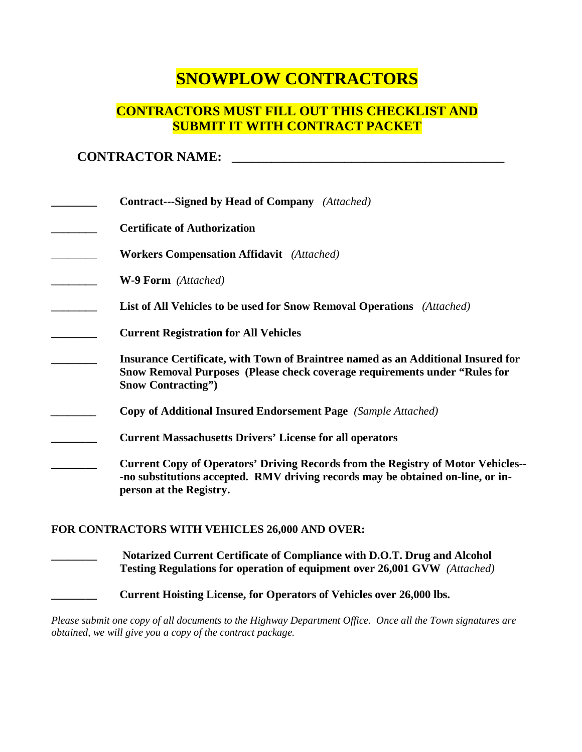# **SNOWPLOW CONTRACTORS**

# **CONTRACTORS MUST FILL OUT THIS CHECKLIST AND SUBMIT IT WITH CONTRACT PACKET**

# **CONTRACTOR NAME: \_\_\_\_\_\_\_\_\_\_\_\_\_\_\_\_\_\_\_\_\_\_\_\_\_\_\_\_\_\_\_\_\_\_\_\_\_\_\_\_\_**

| <b>Contract---Signed by Head of Company</b> (Attached)                                                                                                                                                |
|-------------------------------------------------------------------------------------------------------------------------------------------------------------------------------------------------------|
| <b>Certificate of Authorization</b>                                                                                                                                                                   |
| <b>Workers Compensation Affidavit</b> (Attached)                                                                                                                                                      |
| <b>W-9 Form</b> (Attached)                                                                                                                                                                            |
| <b>List of All Vehicles to be used for Snow Removal Operations</b> (Attached)                                                                                                                         |
| <b>Current Registration for All Vehicles</b>                                                                                                                                                          |
| Insurance Certificate, with Town of Braintree named as an Additional Insured for<br>Snow Removal Purposes (Please check coverage requirements under "Rules for<br><b>Snow Contracting"</b> )          |
| <b>Copy of Additional Insured Endorsement Page</b> (Sample Attached)                                                                                                                                  |
| <b>Current Massachusetts Drivers' License for all operators</b>                                                                                                                                       |
| <b>Current Copy of Operators' Driving Records from the Registry of Motor Vehicles--</b><br>-no substitutions accepted. RMV driving records may be obtained on-line, or in-<br>person at the Registry. |

#### **FOR CONTRACTORS WITH VEHICLES 26,000 AND OVER:**

**\_\_\_\_\_\_\_\_ Notarized Current Certificate of Compliance with D.O.T. Drug and Alcohol Testing Regulations for operation of equipment over 26,001 GVW** *(Attached)*

Current Hoisting License, for Operators of Vehicles over 26,000 lbs.

*Please submit one copy of all documents to the Highway Department Office. Once all the Town signatures are obtained, we will give you a copy of the contract package.*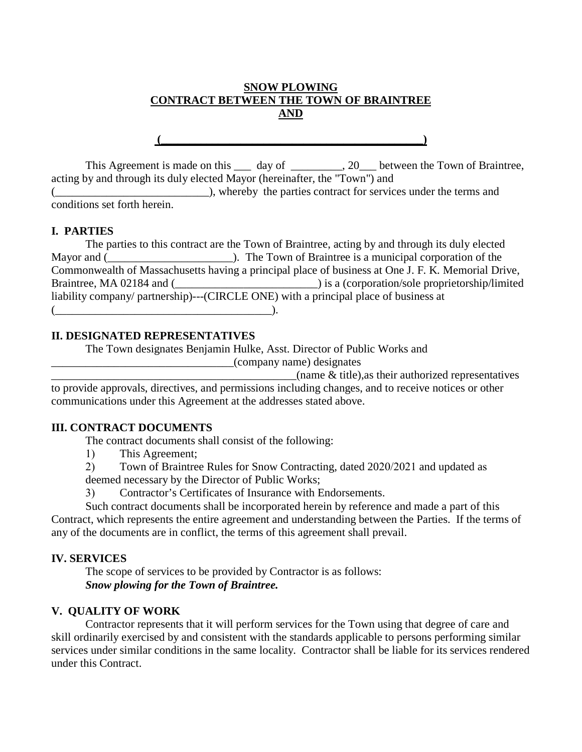### **SNOW PLOWING CONTRACT BETWEEN THE TOWN OF BRAINTREE AND**

 $\left(\begin{array}{ccc} \begin{array}{ccc} \begin{array}{ccc} \end{array} & \begin{array}{ccc} \end{array} & \begin{array}{ccc} \end{array} & \end{array} & \begin{array}{ccc} \end{array} & \begin{array}{ccc} \end{array} & \end{array} & \begin{array}{ccc} \end{array} & \begin{array}{ccc} \end{array} & \end{array} & \begin{array}{ccc} \end{array} & \begin{array}{ccc} \end{array} & \begin{array}{ccc} \end{array} & \begin{array}{ccc} \end{array} & \begin{array}{ccc} \end{array} & \begin{array}{ccc} \end{array} & \begin{array}{ccc} \end{array} & \end{array$ 

This Agreement is made on this \_\_\_ day of \_\_\_\_\_\_\_\_, 20\_\_ between the Town of Braintree, acting by and through its duly elected Mayor (hereinafter, the "Town") and

(\_\_\_\_\_\_\_\_\_\_\_\_\_\_\_), whereby the parties contract for services under the terms and conditions set forth herein.

#### **I. PARTIES**

The parties to this contract are the Town of Braintree, acting by and through its duly elected Mayor and (<br>and  $\blacksquare$ ). The Town of Braintree is a municipal corporation of the Commonwealth of Massachusetts having a principal place of business at One J. F. K. Memorial Drive, Braintree, MA 02184 and (\_\_\_\_\_\_\_\_\_\_\_\_\_\_\_\_\_\_\_\_\_\_\_\_\_) is a (corporation/sole proprietorship/limited liability company/ partnership)---(CIRCLE ONE) with a principal place of business at  $($ 

#### **II. DESIGNATED REPRESENTATIVES**

The Town designates Benjamin Hulke, Asst. Director of Public Works and

\_\_\_\_\_\_\_\_\_\_\_\_\_\_\_\_\_\_\_\_\_\_\_\_\_\_\_\_\_\_\_\_(company name) designates

 $\alpha$  (name  $\&$  title), as their authorized representatives

to provide approvals, directives, and permissions including changes, and to receive notices or other communications under this Agreement at the addresses stated above.

#### **III. CONTRACT DOCUMENTS**

The contract documents shall consist of the following:

1) This Agreement;

- 2) Town of Braintree Rules for Snow Contracting, dated 2020/2021 and updated as deemed necessary by the Director of Public Works;
- 3) Contractor's Certificates of Insurance with Endorsements.

Such contract documents shall be incorporated herein by reference and made a part of this Contract, which represents the entire agreement and understanding between the Parties. If the terms of any of the documents are in conflict, the terms of this agreement shall prevail.

## **IV. SERVICES**

The scope of services to be provided by Contractor is as follows: *Snow plowing for the Town of Braintree.* 

## **V. QUALITY OF WORK**

Contractor represents that it will perform services for the Town using that degree of care and skill ordinarily exercised by and consistent with the standards applicable to persons performing similar services under similar conditions in the same locality. Contractor shall be liable for its services rendered under this Contract.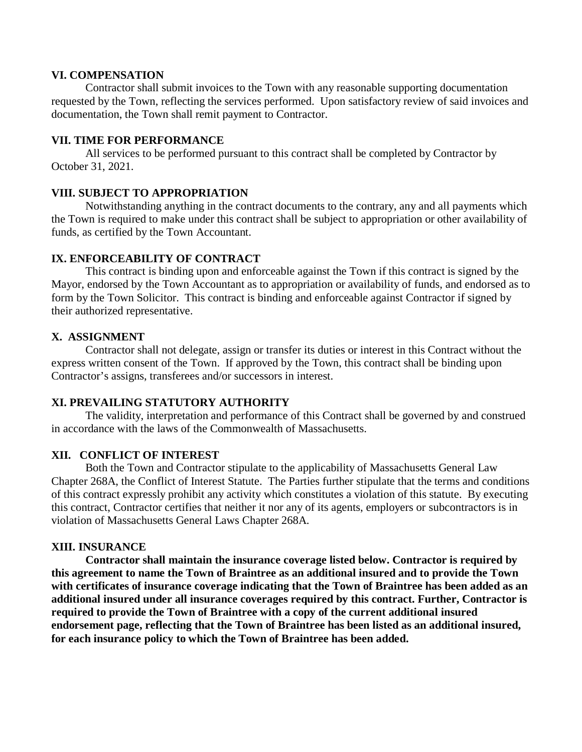#### **VI. COMPENSATION**

Contractor shall submit invoices to the Town with any reasonable supporting documentation requested by the Town, reflecting the services performed. Upon satisfactory review of said invoices and documentation, the Town shall remit payment to Contractor.

#### **VII. TIME FOR PERFORMANCE**

All services to be performed pursuant to this contract shall be completed by Contractor by October 31, 2021.

#### **VIII. SUBJECT TO APPROPRIATION**

Notwithstanding anything in the contract documents to the contrary, any and all payments which the Town is required to make under this contract shall be subject to appropriation or other availability of funds, as certified by the Town Accountant.

#### **IX. ENFORCEABILITY OF CONTRACT**

This contract is binding upon and enforceable against the Town if this contract is signed by the Mayor, endorsed by the Town Accountant as to appropriation or availability of funds, and endorsed as to form by the Town Solicitor. This contract is binding and enforceable against Contractor if signed by their authorized representative.

#### **X. ASSIGNMENT**

Contractor shall not delegate, assign or transfer its duties or interest in this Contract without the express written consent of the Town. If approved by the Town, this contract shall be binding upon Contractor's assigns, transferees and/or successors in interest.

#### **XI. PREVAILING STATUTORY AUTHORITY**

The validity, interpretation and performance of this Contract shall be governed by and construed in accordance with the laws of the Commonwealth of Massachusetts.

#### **XII. CONFLICT OF INTEREST**

Both the Town and Contractor stipulate to the applicability of Massachusetts General Law Chapter 268A, the Conflict of Interest Statute. The Parties further stipulate that the terms and conditions of this contract expressly prohibit any activity which constitutes a violation of this statute. By executing this contract, Contractor certifies that neither it nor any of its agents, employers or subcontractors is in violation of Massachusetts General Laws Chapter 268A.

#### **XIII. INSURANCE**

**Contractor shall maintain the insurance coverage listed below. Contractor is required by this agreement to name the Town of Braintree as an additional insured and to provide the Town with certificates of insurance coverage indicating that the Town of Braintree has been added as an additional insured under all insurance coverages required by this contract. Further, Contractor is required to provide the Town of Braintree with a copy of the current additional insured endorsement page, reflecting that the Town of Braintree has been listed as an additional insured, for each insurance policy to which the Town of Braintree has been added.**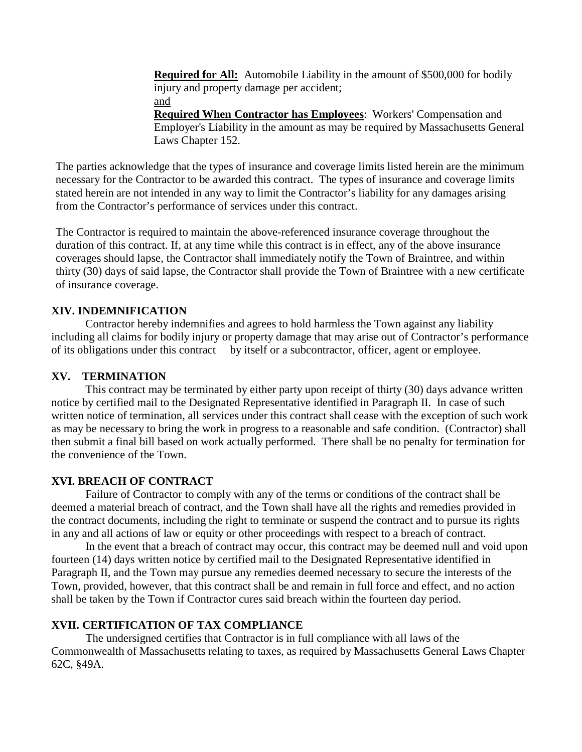**Required for All:** Automobile Liability in the amount of \$500,000 for bodily injury and property damage per accident; and **Required When Contractor has Employees**: Workers' Compensation and Employer's Liability in the amount as may be required by Massachusetts General Laws Chapter 152.

The parties acknowledge that the types of insurance and coverage limits listed herein are the minimum necessary for the Contractor to be awarded this contract. The types of insurance and coverage limits stated herein are not intended in any way to limit the Contractor's liability for any damages arising from the Contractor's performance of services under this contract.

The Contractor is required to maintain the above-referenced insurance coverage throughout the duration of this contract. If, at any time while this contract is in effect, any of the above insurance coverages should lapse, the Contractor shall immediately notify the Town of Braintree, and within thirty (30) days of said lapse, the Contractor shall provide the Town of Braintree with a new certificate of insurance coverage.

#### **XIV. INDEMNIFICATION**

Contractor hereby indemnifies and agrees to hold harmless the Town against any liability including all claims for bodily injury or property damage that may arise out of Contractor's performance of its obligations under this contract by itself or a subcontractor, officer, agent or employee.

#### **XV. TERMINATION**

This contract may be terminated by either party upon receipt of thirty (30) days advance written notice by certified mail to the Designated Representative identified in Paragraph II. In case of such written notice of termination, all services under this contract shall cease with the exception of such work as may be necessary to bring the work in progress to a reasonable and safe condition. (Contractor) shall then submit a final bill based on work actually performed. There shall be no penalty for termination for the convenience of the Town.

#### **XVI. BREACH OF CONTRACT**

Failure of Contractor to comply with any of the terms or conditions of the contract shall be deemed a material breach of contract, and the Town shall have all the rights and remedies provided in the contract documents, including the right to terminate or suspend the contract and to pursue its rights in any and all actions of law or equity or other proceedings with respect to a breach of contract.

In the event that a breach of contract may occur, this contract may be deemed null and void upon fourteen (14) days written notice by certified mail to the Designated Representative identified in Paragraph II, and the Town may pursue any remedies deemed necessary to secure the interests of the Town, provided, however, that this contract shall be and remain in full force and effect, and no action shall be taken by the Town if Contractor cures said breach within the fourteen day period.

#### **XVII. CERTIFICATION OF TAX COMPLIANCE**

The undersigned certifies that Contractor is in full compliance with all laws of the Commonwealth of Massachusetts relating to taxes, as required by Massachusetts General Laws Chapter 62C, §49A.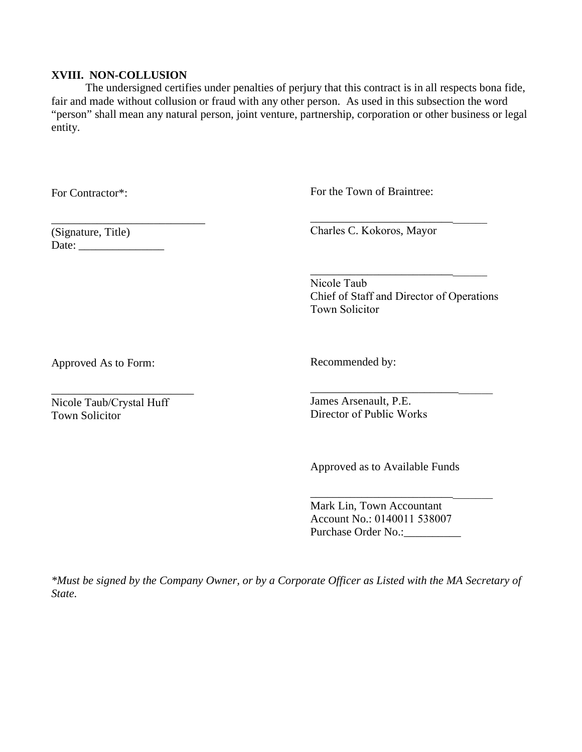#### **XVIII. NON-COLLUSION**

The undersigned certifies under penalties of perjury that this contract is in all respects bona fide, fair and made without collusion or fraud with any other person. As used in this subsection the word "person" shall mean any natural person, joint venture, partnership, corporation or other business or legal entity.

For Contractor\*:

For the Town of Braintree:

(Signature, Title) Date: \_\_\_\_\_\_\_\_\_\_\_\_\_\_\_

\_\_\_\_\_\_\_\_\_\_\_\_\_\_\_\_\_\_\_\_\_\_\_\_\_\_\_

Charles C. Kokoros, Mayor

\_\_\_\_\_\_\_\_\_\_\_\_\_\_\_\_\_\_\_\_\_\_\_\_\_\_\_\_\_\_\_ Nicole Taub Chief of Staff and Director of Operations Town Solicitor

\_\_\_\_\_\_\_\_\_\_\_\_\_\_\_\_\_\_\_\_\_\_\_\_\_\_\_\_\_\_\_\_

\_\_\_\_\_\_\_\_\_\_\_\_\_\_\_\_\_\_\_\_\_\_\_\_\_\_\_\_\_\_\_

Approved As to Form:

\_\_\_\_\_\_\_\_\_\_\_\_\_\_\_\_\_\_\_\_\_\_\_\_\_ Nicole Taub/Crystal Huff Town Solicitor

Recommended by:

James Arsenault, P.E. Director of Public Works

Approved as to Available Funds

\_\_\_\_\_\_\_\_\_\_\_\_\_\_\_\_\_\_\_\_\_\_\_\_\_\_\_\_\_\_\_\_

Mark Lin, Town Accountant Account No.: 0140011 538007 Purchase Order No.:

*\*Must be signed by the Company Owner, or by a Corporate Officer as Listed with the MA Secretary of State.*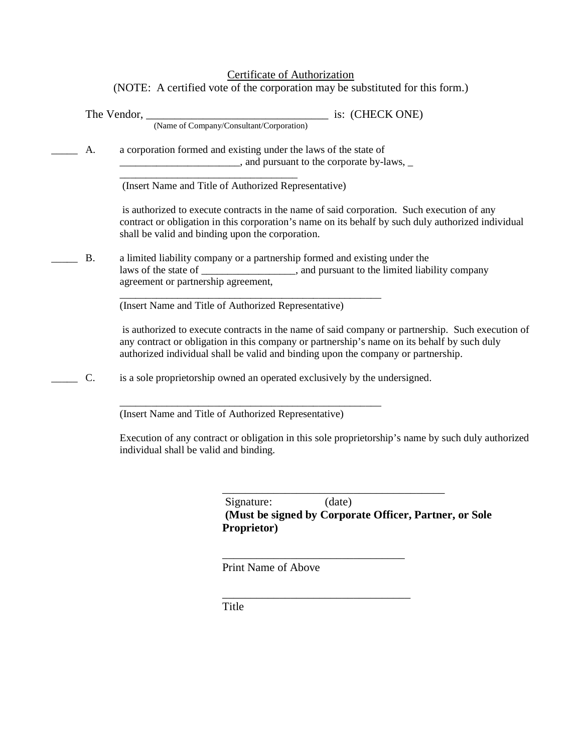## Certificate of Authorization

(NOTE: A certified vote of the corporation may be substituted for this form.)

|           | (Name of Company/Consultant/Corporation)                                                                                                                                                                                                                                             |
|-----------|--------------------------------------------------------------------------------------------------------------------------------------------------------------------------------------------------------------------------------------------------------------------------------------|
| A.        | a corporation formed and existing under the laws of the state of                                                                                                                                                                                                                     |
|           | (Insert Name and Title of Authorized Representative)                                                                                                                                                                                                                                 |
|           | is authorized to execute contracts in the name of said corporation. Such execution of any<br>contract or obligation in this corporation's name on its behalf by such duly authorized individual<br>shall be valid and binding upon the corporation.                                  |
| <b>B.</b> | a limited liability company or a partnership formed and existing under the<br>laws of the state of ____________________, and pursuant to the limited liability company<br>agreement or partnership agreement,                                                                        |
|           | (Insert Name and Title of Authorized Representative)                                                                                                                                                                                                                                 |
|           | is authorized to execute contracts in the name of said company or partnership. Such execution of<br>any contract or obligation in this company or partnership's name on its behalf by such duly<br>authorized individual shall be valid and binding upon the company or partnership. |
| C.        | is a sole proprietorship owned an operated exclusively by the undersigned.                                                                                                                                                                                                           |
|           | (Insert Name and Title of Authorized Representative)                                                                                                                                                                                                                                 |
|           | Execution of any contract or obligation in this sole proprietorship's name by such duly authorized<br>individual shall be valid and binding.                                                                                                                                         |

\_\_\_\_\_\_\_\_\_\_\_\_\_\_\_\_\_\_\_\_\_\_\_\_\_\_\_\_\_\_\_\_\_\_\_\_\_\_\_ Signature: (date) **(Must be signed by Corporate Officer, Partner, or Sole Proprietor)**

Print Name of Above

\_\_\_\_\_\_\_\_\_\_\_\_\_\_\_\_\_\_\_\_\_\_\_\_\_\_\_\_\_\_\_\_

\_\_\_\_\_\_\_\_\_\_\_\_\_\_\_\_\_\_\_\_\_\_\_\_\_\_\_\_\_\_\_\_\_

Title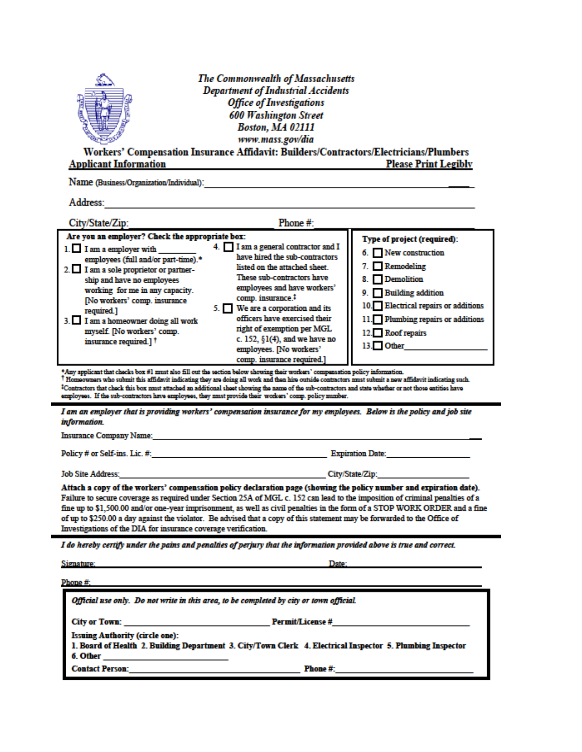|                                                                                                                                                             | <b>The Commonwealth of Massachusetts</b>                                              |                             |  |  |  |
|-------------------------------------------------------------------------------------------------------------------------------------------------------------|---------------------------------------------------------------------------------------|-----------------------------|--|--|--|
|                                                                                                                                                             | <b>Department of Industrial Accidents</b>                                             |                             |  |  |  |
|                                                                                                                                                             | <b>Office of Investigations</b>                                                       |                             |  |  |  |
|                                                                                                                                                             | <b>600 Washington Street</b>                                                          |                             |  |  |  |
|                                                                                                                                                             | <b>Boston, MA 02111</b>                                                               |                             |  |  |  |
|                                                                                                                                                             | www.mass.gov/dia                                                                      |                             |  |  |  |
|                                                                                                                                                             | Workers' Compensation Insurance Affidavit: Builders/Contractors/Electricians/Plumbers |                             |  |  |  |
| <b>Applicant Information</b>                                                                                                                                |                                                                                       | <b>Please Print Legibly</b> |  |  |  |
| Name (Business/Organization/Individual):                                                                                                                    |                                                                                       |                             |  |  |  |
| Address:                                                                                                                                                    |                                                                                       |                             |  |  |  |
| City/State/Zip:                                                                                                                                             | Phone $#$ :                                                                           |                             |  |  |  |
| Are you an employer? Check the appropriate box:                                                                                                             |                                                                                       | Type of project (required): |  |  |  |
| $1.$ I am a employer with $\qquad$                                                                                                                          | 4. I am a general contractor and I                                                    | 6. New construction         |  |  |  |
| employees (full and/or part-time).*<br>.<br>the contract of the contract of the contract of the contract of the contract of the contract of the contract of | have hired the sub-contractors<br>listed on the attached sheet                        | $\Box$ Remodeling           |  |  |  |

ara di altra

| 2. I am a sole proprietor or partner-<br>ship and have no employees<br>working for me in any capacity.<br>[No workers' comp. insurance<br>required.]<br>I am a homeowner doing all work<br>myself. [No workers' comp.<br>insurance required.] <sup>†</sup> | listed on the attached sheet.<br>These sub-contractors have<br>employees and have workers'<br>comp. insurance. <sup>1</sup><br>5. We are a corporation and its<br>officers have exercised their<br>right of exemption per MGL<br>c. 152, $\S1(4)$ , and we have no<br>employees. [No workers' | $\blacksquare$ . Let no define<br>8. Demolition<br>9. Building addition<br>10. Electrical repairs or additions<br>11. Plumbing repairs or additions<br>12. Roof repairs<br>13. Other |
|------------------------------------------------------------------------------------------------------------------------------------------------------------------------------------------------------------------------------------------------------------|-----------------------------------------------------------------------------------------------------------------------------------------------------------------------------------------------------------------------------------------------------------------------------------------------|--------------------------------------------------------------------------------------------------------------------------------------------------------------------------------------|
|                                                                                                                                                                                                                                                            | comp. insurance required.]                                                                                                                                                                                                                                                                    |                                                                                                                                                                                      |

\*Any applicant that checks box #1 must also fill out the section below showing their workers' compensation policy information.<br>Thomeowners who submit this affidavit indicating they are doing all work and then hire outside <sup>2</sup>Contractors that chock this box must attached an additional sheet showing the name of the sub-contractors and state whether or not those entities have employees. If the sub-contractors have employees, they must provide their workers' comp. policy number.

I am an employer that is providing workers' compensation insurance for my employees. Below is the policy and job site information.

Insurance Company Name: Name: 2008. [1] All Contracts Company Name: 2008. [2] All Contracts Company Name: 2008. [2] All Contracts Company Name: 2008. [2] All Contracts Company Name: 2008. [2] All Contracts Company Name: 20

Policy # or Self-ins. Lic. #: The Contract of the Contract of the Contract of the Contract of the Contract of the Contract of the Contract of the Contract of the Contract of the Contract of the Contract of the Contract of

**Job Site Address:** 

Attach a copy of the workers' compensation policy declaration page (showing the policy number and expiration date). Failure to secure coverage as required under Section 25A of MGL c. 152 can lead to the imposition of criminal penalties of a fine up to \$1,500.00 and/or one-year imprisonment, as well as civil penalties in the form of a STOP WORK ORDER and a fine of up to \$250.00 a day against the violator. Be advised that a copy of this statement may be forwarded to the Office of Investigations of the DIA for insurance coverage verification.

City/State/Zip:

I do hereby certify under the pains and penalties of perjury that the information provided above is true and correct.

| Signature: |  |
|------------|--|
|            |  |
| Phone #:   |  |

| Official use only. Do not write in this area, to be completed by city or town official.                                                                                                                                       |          |  |  |
|-------------------------------------------------------------------------------------------------------------------------------------------------------------------------------------------------------------------------------|----------|--|--|
| City or Town: The Contract of the Contract of the Contract of the Contract of the Contract of the Contract of the Contract of the Contract of the Contract of the Contract of the Contract of the Contract of the Contract of |          |  |  |
| <b>Issuing Authority (circle one):</b>                                                                                                                                                                                        |          |  |  |
| 1. Board of Health 2. Building Department 3. City/Town Clerk 4. Electrical Inspector 5. Plumbing Inspector                                                                                                                    |          |  |  |
|                                                                                                                                                                                                                               |          |  |  |
| <b>Contact Person:</b>                                                                                                                                                                                                        | Phone #: |  |  |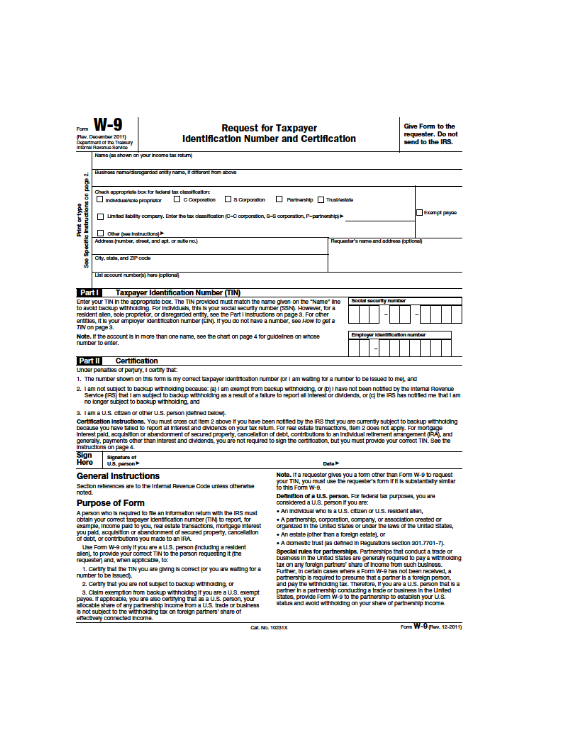#### **Request for Taxpayer Identification Number and Certification**

Give Form to the requester. Do not send to the IRS.

| (Rev. December 2011)<br><b>Identification Number and Certification</b><br>Department of the Treasury<br>Internal Revenue Service                                                                                                                                                                                                                                                                                                                                                                                                                                                                                                                         |                                                                                                                     | requester. Do not<br>send to the IRS.                                                                                                                                                                               |                                                                                                        |                                                                                                                                            |  |
|----------------------------------------------------------------------------------------------------------------------------------------------------------------------------------------------------------------------------------------------------------------------------------------------------------------------------------------------------------------------------------------------------------------------------------------------------------------------------------------------------------------------------------------------------------------------------------------------------------------------------------------------------------|---------------------------------------------------------------------------------------------------------------------|---------------------------------------------------------------------------------------------------------------------------------------------------------------------------------------------------------------------|--------------------------------------------------------------------------------------------------------|--------------------------------------------------------------------------------------------------------------------------------------------|--|
|                                                                                                                                                                                                                                                                                                                                                                                                                                                                                                                                                                                                                                                          | Name (as shown on your income tax return)                                                                           |                                                                                                                                                                                                                     |                                                                                                        |                                                                                                                                            |  |
|                                                                                                                                                                                                                                                                                                                                                                                                                                                                                                                                                                                                                                                          |                                                                                                                     | Business name/disregarded entity name, if different from above                                                                                                                                                      |                                                                                                        |                                                                                                                                            |  |
| οi                                                                                                                                                                                                                                                                                                                                                                                                                                                                                                                                                                                                                                                       |                                                                                                                     |                                                                                                                                                                                                                     |                                                                                                        |                                                                                                                                            |  |
| å<br>Check appropriate box for federal tax classification:                                                                                                                                                                                                                                                                                                                                                                                                                                                                                                                                                                                               |                                                                                                                     |                                                                                                                                                                                                                     |                                                                                                        |                                                                                                                                            |  |
|                                                                                                                                                                                                                                                                                                                                                                                                                                                                                                                                                                                                                                                          | $\Box$ C Corporation<br>S Corporation<br>Partnership Trust/estate<br>Individual/sole proprietor                     |                                                                                                                                                                                                                     |                                                                                                        |                                                                                                                                            |  |
| Specific instructions on<br>Print or type                                                                                                                                                                                                                                                                                                                                                                                                                                                                                                                                                                                                                | Limited liability company. Enter the tax classification (C=C corporation, S=S corporation, P=partnership) ▶         |                                                                                                                                                                                                                     |                                                                                                        | Exampt payes                                                                                                                               |  |
|                                                                                                                                                                                                                                                                                                                                                                                                                                                                                                                                                                                                                                                          | Other (see instructions)                                                                                            |                                                                                                                                                                                                                     |                                                                                                        |                                                                                                                                            |  |
|                                                                                                                                                                                                                                                                                                                                                                                                                                                                                                                                                                                                                                                          |                                                                                                                     | Address (number, street, and apt. or suite no.)                                                                                                                                                                     |                                                                                                        | Requester's name and address (optional)                                                                                                    |  |
| ŝ                                                                                                                                                                                                                                                                                                                                                                                                                                                                                                                                                                                                                                                        | City, state, and ZIP code                                                                                           |                                                                                                                                                                                                                     |                                                                                                        |                                                                                                                                            |  |
|                                                                                                                                                                                                                                                                                                                                                                                                                                                                                                                                                                                                                                                          |                                                                                                                     | List account number(s) here (optional)                                                                                                                                                                              |                                                                                                        |                                                                                                                                            |  |
| Part I                                                                                                                                                                                                                                                                                                                                                                                                                                                                                                                                                                                                                                                   |                                                                                                                     | Taxpayer Identification Number (TIN)                                                                                                                                                                                |                                                                                                        |                                                                                                                                            |  |
|                                                                                                                                                                                                                                                                                                                                                                                                                                                                                                                                                                                                                                                          |                                                                                                                     | Enter your TIN in the appropriate box. The TIN provided must match the name given on the "Name" line                                                                                                                |                                                                                                        | <b>Social security number</b>                                                                                                              |  |
|                                                                                                                                                                                                                                                                                                                                                                                                                                                                                                                                                                                                                                                          |                                                                                                                     | to avoid backup withholding. For individuals, this is your social security number (SSN). However, for a<br>resident allen, sole proprietor, or disregarded entity, see the Part I Instructions on page 3. For other |                                                                                                        |                                                                                                                                            |  |
|                                                                                                                                                                                                                                                                                                                                                                                                                                                                                                                                                                                                                                                          | TIN on page 3.                                                                                                      | entities, it is your employer identification number (EIN). If you do not have a number, see How to get a                                                                                                            |                                                                                                        |                                                                                                                                            |  |
|                                                                                                                                                                                                                                                                                                                                                                                                                                                                                                                                                                                                                                                          |                                                                                                                     | Note. If the account is in more than one name, see the chart on page 4 for guidelines on whose                                                                                                                      |                                                                                                        | <b>Employer Identification number</b>                                                                                                      |  |
|                                                                                                                                                                                                                                                                                                                                                                                                                                                                                                                                                                                                                                                          | number to enter.                                                                                                    |                                                                                                                                                                                                                     |                                                                                                        |                                                                                                                                            |  |
| Part II                                                                                                                                                                                                                                                                                                                                                                                                                                                                                                                                                                                                                                                  |                                                                                                                     | <b>Certification</b>                                                                                                                                                                                                |                                                                                                        |                                                                                                                                            |  |
|                                                                                                                                                                                                                                                                                                                                                                                                                                                                                                                                                                                                                                                          | Under penalties of perjury, I certify that:                                                                         |                                                                                                                                                                                                                     |                                                                                                        |                                                                                                                                            |  |
|                                                                                                                                                                                                                                                                                                                                                                                                                                                                                                                                                                                                                                                          |                                                                                                                     | 1. The number shown on this form is my correct taxpayer identification number (or I am waiting for a number to be issued to me), and                                                                                |                                                                                                        |                                                                                                                                            |  |
| 2. I am not subject to backup withholding because: (a) I am exempt from backup withholding, or (b) I have not been notified by the internal Revenue<br>Service (IRS) that I am subject to backup withholding as a result of a failure to report all interest or dividends, or (c) the IRS has notified me that I am<br>no longer subject to backup withholding, and                                                                                                                                                                                                                                                                                      |                                                                                                                     |                                                                                                                                                                                                                     |                                                                                                        |                                                                                                                                            |  |
|                                                                                                                                                                                                                                                                                                                                                                                                                                                                                                                                                                                                                                                          |                                                                                                                     | 3. I am a U.S. citizen or other U.S. person (defined below).                                                                                                                                                        |                                                                                                        |                                                                                                                                            |  |
| Certification instructions. You must cross out item 2 above if you have been notified by the IRS that you are currently subject to backup withholding<br>because you have falled to report all interest and dividends on your tax return. For real estate transactions, item 2 does not apply. For mortgage<br>Interest paid, acquisition or abandonment of secured property, cancellation of debt, contributions to an individual retirement arrangement (IRA), and<br>generally, payments other than interest and dividends, you are not required to sign the certification, but you must provide your correct TIN. See the<br>instructions on page 4. |                                                                                                                     |                                                                                                                                                                                                                     |                                                                                                        |                                                                                                                                            |  |
| Sign<br>Here                                                                                                                                                                                                                                                                                                                                                                                                                                                                                                                                                                                                                                             | <b>Signature of</b><br>U.S. person                                                                                  |                                                                                                                                                                                                                     | Data P                                                                                                 |                                                                                                                                            |  |
|                                                                                                                                                                                                                                                                                                                                                                                                                                                                                                                                                                                                                                                          | <b>General Instructions</b>                                                                                         |                                                                                                                                                                                                                     | Note. If a requester gives you a form other than Form W-9 to request                                   |                                                                                                                                            |  |
| noted.                                                                                                                                                                                                                                                                                                                                                                                                                                                                                                                                                                                                                                                   |                                                                                                                     | Section references are to the Internal Revenue Code unless otherwise                                                                                                                                                | your TIN, you must use the requester's form if it is substantially similar<br>to this Form W-9.        |                                                                                                                                            |  |
|                                                                                                                                                                                                                                                                                                                                                                                                                                                                                                                                                                                                                                                          | <b>Purpose of Form</b>                                                                                              |                                                                                                                                                                                                                     | Definition of a U.S. person. For federal tax purposes, you are<br>considered a U.S. person if you are: |                                                                                                                                            |  |
|                                                                                                                                                                                                                                                                                                                                                                                                                                                                                                                                                                                                                                                          |                                                                                                                     | A person who is required to file an information return with the IRS must                                                                                                                                            | . An individual who is a U.S. citizen or U.S. resident allen,                                          |                                                                                                                                            |  |
| obtain your correct taxpayer identification number (TIN) to report, for<br>example, income paid to you, real estate transactions, mortgage interest                                                                                                                                                                                                                                                                                                                                                                                                                                                                                                      |                                                                                                                     |                                                                                                                                                                                                                     |                                                                                                        | • A partnership, corporation, company, or association created or<br>organized in the United States or under the laws of the United States, |  |
|                                                                                                                                                                                                                                                                                                                                                                                                                                                                                                                                                                                                                                                          |                                                                                                                     | you paid, acquisition or abandonment of secured property, cancellation                                                                                                                                              | • An estate (other than a foreign estate), or                                                          |                                                                                                                                            |  |
|                                                                                                                                                                                                                                                                                                                                                                                                                                                                                                                                                                                                                                                          | of debt, or contributions you made to an IRA.<br>. A domestic trust (as defined in Regulations section 301,7701-7). |                                                                                                                                                                                                                     |                                                                                                        |                                                                                                                                            |  |

Use Form W-9 only if you are a U.S. person (including a resident<br>allen), to provide your correct TIN to the person requesting it (the<br>requester) and, when applicable, to:

1. Certify that the TIN you are giving is correct (or you are waiting for a number to be issued),

2. Certify that you are not subject to backup withholding, or

2. Ceality and you all hot stories to backup with the pulsar payee. If applicable, you are also certifying that as a U.S. exempt<br>payee. If applicable, you are also certifying that as a U.S. person, your<br>allocable share of

• A domestic trust (as denined in Heguiatonis section 301.7701-7).<br>Special rules for partnerships. Partnerships that conduct a trade or<br>business in the United States are generally required to pay a withholding<br>tax on any f

Cat. No. 10231X

Form **W-9** (Rev. 12-2011)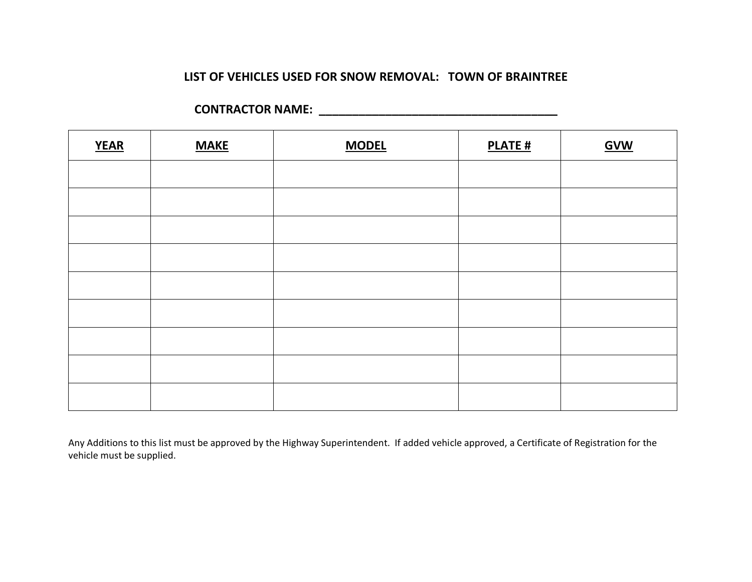## **LIST OF VEHICLES USED FOR SNOW REMOVAL: TOWN OF BRAINTREE**

| <b>YEAR</b> | <b>MAKE</b> | <b>MODEL</b> | <b>PLATE#</b> | <b>GVW</b> |
|-------------|-------------|--------------|---------------|------------|
|             |             |              |               |            |
|             |             |              |               |            |
|             |             |              |               |            |
|             |             |              |               |            |
|             |             |              |               |            |
|             |             |              |               |            |
|             |             |              |               |            |
|             |             |              |               |            |
|             |             |              |               |            |

**CONTRACTOR NAME: \_\_\_\_\_\_\_\_\_\_\_\_\_\_\_\_\_\_\_\_\_\_\_\_\_\_\_\_\_\_\_\_\_\_\_\_**

Any Additions to this list must be approved by the Highway Superintendent. If added vehicle approved, a Certificate of Registration for the vehicle must be supplied.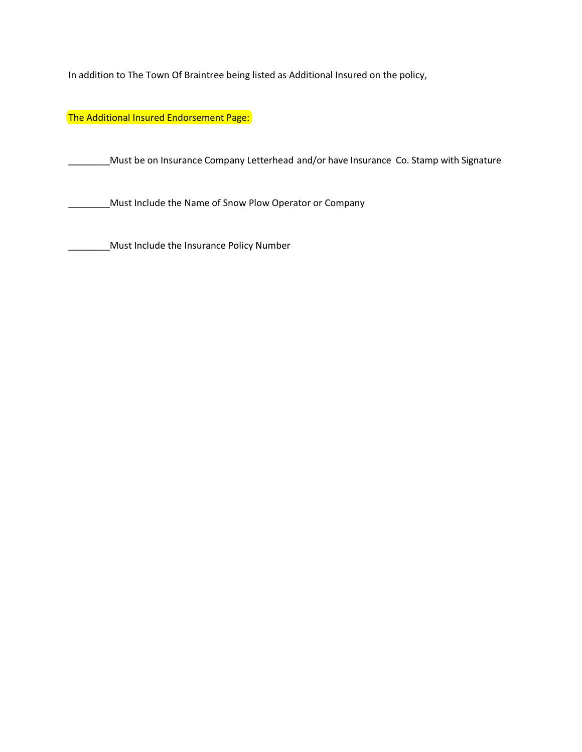In addition to The Town Of Braintree being listed as Additional Insured on the policy,

The Additional Insured Endorsement Page:

\_\_\_\_\_\_\_\_Must be on Insurance Company Letterhead and/or have Insurance Co. Stamp with Signature

\_\_\_\_\_\_Must Include the Name of Snow Plow Operator or Company

\_\_\_\_\_\_Must Include the Insurance Policy Number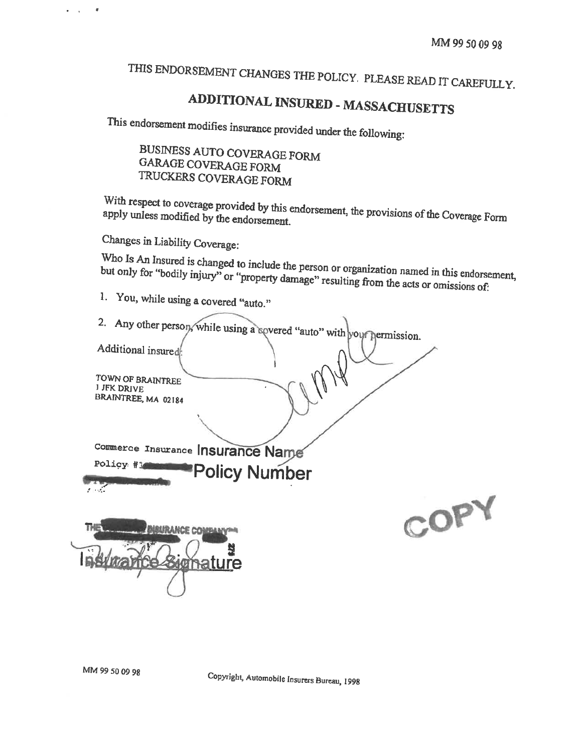# THIS ENDORSEMENT CHANGES THE POLICY. PLEASE READ IT CAREFULLY.

# **ADDITIONAL INSURED - MASSACHUSETTS**

This endorsement modifies insurance provided under the following:

BUSINESS AUTO COVERAGE FORM **GARAGE COVERAGE FORM** TRUCKERS COVERAGE FORM

With respect to coverage provided by this endorsement, the provisions of the Coverage Form apply unless modified by the endorsement.

Changes in Liability Coverage:

Who Is An Insured is changed to include the person or organization named in this endorsement, but only for "bodily injury" or "property damage" resulting from the acts or omissions of:

- 1. You, while using a covered "auto."
- 2. Any other person, while using a sovered "auto" with your permission. Additional insured TOWN OF BRAINTREE 1 JFK DRIVE BRAINTREE, MA 02184 Commerce Insurance Insurance Name Policy #1 **Policy Number** r off COPY **URANCE COMBANY®R** gnature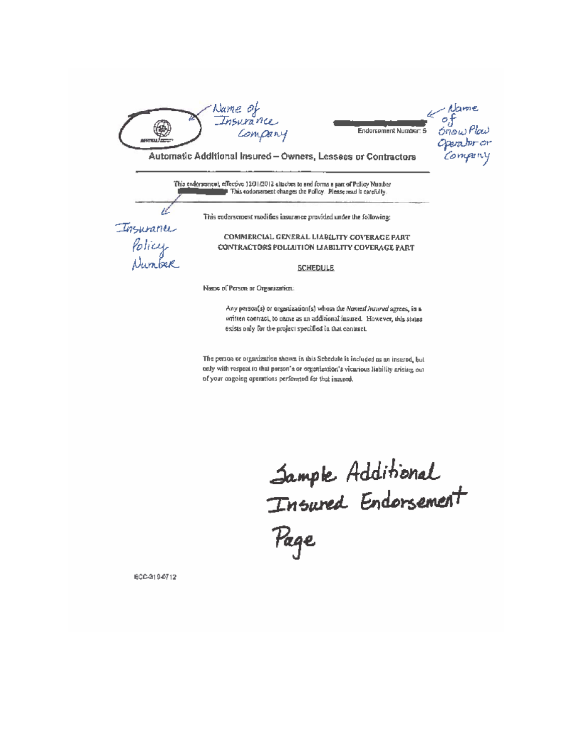

Mame<br>of<br>ónow Plaw<br>Operalor or<br>Compriny Endorsement Number: 5

Automatic Additional Insured - Owners, Lessees or Contractors

This endors meet, effective 12/31/2012 altaches to and forms a part of Policy Number F This codorsement changes the Polloy. Please read is carefully.

This endorsement modifies insurance provided under the following:

Insurance

Policy<br>Number

COMMERCIAL GENERAL LIABILITY COVERAGE PART CONTRACTORS POLIJITION LIABILITY COVERAGE PART

**SCHEDULE** 

Name of Person or Organization:

Any person(s) or organization(s) whom the Named Insured agrees, in a written contract, to name as an additional insured. However, this states exists only for the project specified in that contract.

The person or organization shown in this Sebedule is included as an insured, but only with respect to that person's or organization's vicarious liability arising out of your cogoing operations performed for that insured.

Sample Additional<br>Insured Endorsement<br>Page

ECC-319-0712